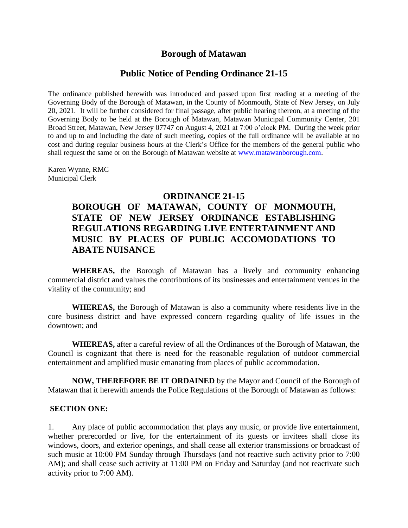## **Borough of Matawan**

#### **Public Notice of Pending Ordinance 21-15**

The ordinance published herewith was introduced and passed upon first reading at a meeting of the Governing Body of the Borough of Matawan, in the County of Monmouth, State of New Jersey, on July 20, 2021. It will be further considered for final passage, after public hearing thereon, at a meeting of the Governing Body to be held at the Borough of Matawan, Matawan Municipal Community Center, 201 Broad Street, Matawan, New Jersey 07747 on August 4, 2021 at 7:00 o'clock PM. During the week prior to and up to and including the date of such meeting, copies of the full ordinance will be available at no cost and during regular business hours at the Clerk's Office for the members of the general public who shall request the same or on the Borough of Matawan website at [www.matawanborough.com.](http://www.matawanborough.com/)

Karen Wynne, RMC Municipal Clerk

## **ORDINANCE 21-15**

# **BOROUGH OF MATAWAN, COUNTY OF MONMOUTH, STATE OF NEW JERSEY ORDINANCE ESTABLISHING REGULATIONS REGARDING LIVE ENTERTAINMENT AND MUSIC BY PLACES OF PUBLIC ACCOMODATIONS TO ABATE NUISANCE**

**WHEREAS,** the Borough of Matawan has a lively and community enhancing commercial district and values the contributions of its businesses and entertainment venues in the vitality of the community; and

**WHEREAS,** the Borough of Matawan is also a community where residents live in the core business district and have expressed concern regarding quality of life issues in the downtown; and

**WHEREAS,** after a careful review of all the Ordinances of the Borough of Matawan, the Council is cognizant that there is need for the reasonable regulation of outdoor commercial entertainment and amplified music emanating from places of public accommodation.

**NOW, THEREFORE BE IT ORDAINED** by the Mayor and Council of the Borough of Matawan that it herewith amends the Police Regulations of the Borough of Matawan as follows:

#### **SECTION ONE:**

1. Any place of public accommodation that plays any music, or provide live entertainment, whether prerecorded or live, for the entertainment of its guests or invitees shall close its windows, doors, and exterior openings, and shall cease all exterior transmissions or broadcast of such music at 10:00 PM Sunday through Thursdays (and not reactive such activity prior to 7:00 AM); and shall cease such activity at 11:00 PM on Friday and Saturday (and not reactivate such activity prior to 7:00 AM).